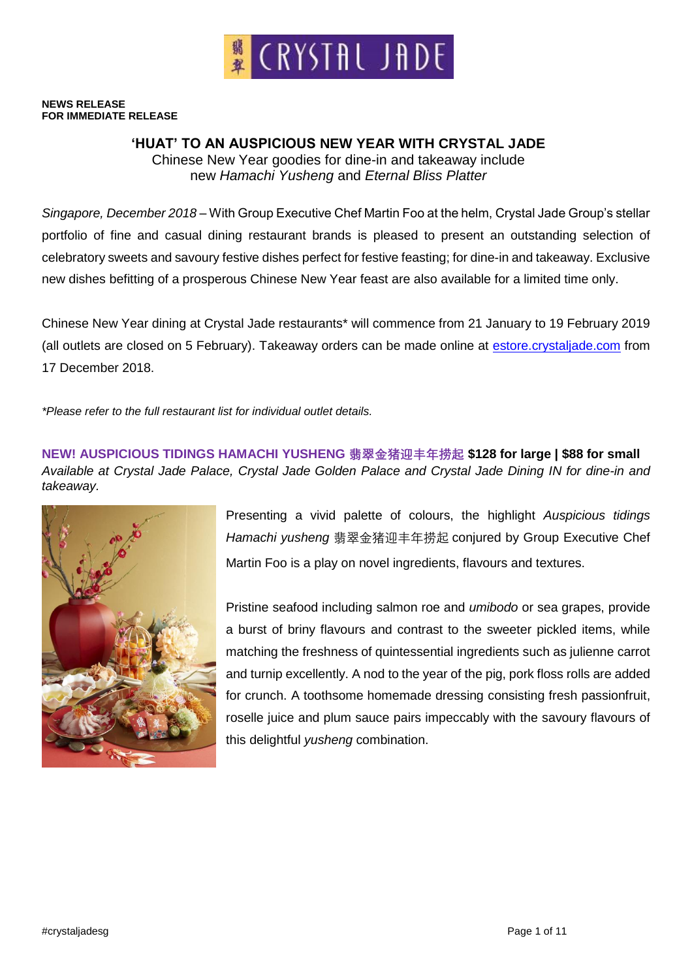

#### **NEWS RELEASE FOR IMMEDIATE RELEASE**

# **'HUAT' TO AN AUSPICIOUS NEW YEAR WITH CRYSTAL JADE**

Chinese New Year goodies for dine-in and takeaway include new *Hamachi Yusheng* and *Eternal Bliss Platter*

*Singapore, December 2018* – With Group Executive Chef Martin Foo at the helm, Crystal Jade Group's stellar portfolio of fine and casual dining restaurant brands is pleased to present an outstanding selection of celebratory sweets and savoury festive dishes perfect for festive feasting; for dine-in and takeaway. Exclusive new dishes befitting of a prosperous Chinese New Year feast are also available for a limited time only.

Chinese New Year dining at Crystal Jade restaurants\* will commence from 21 January to 19 February 2019 (all outlets are closed on 5 February). Takeaway orders can be made online at estore.crystaljade.com from 17 December 2018.

*\*Please refer to the full restaurant list for individual outlet details.*

**NEW! AUSPICIOUS TIDINGS HAMACHI YUSHENG 翡翠金猪迎丰年捞起 \$128 for large | \$88 for small** *Available at Crystal Jade Palace, Crystal Jade Golden Palace and Crystal Jade Dining IN for dine-in and takeaway.* 



Presenting a vivid palette of colours, the highlight *Auspicious tidings Hamachi yusheng* 翡翠金猪迎丰年捞起 conjured by Group Executive Chef Martin Foo is a play on novel ingredients, flavours and textures.

Pristine seafood including salmon roe and *umibodo* or sea grapes, provide a burst of briny flavours and contrast to the sweeter pickled items, while matching the freshness of quintessential ingredients such as julienne carrot and turnip excellently. A nod to the year of the pig, pork floss rolls are added for crunch. A toothsome homemade dressing consisting fresh passionfruit, roselle juice and plum sauce pairs impeccably with the savoury flavours of this delightful *yusheng* combination.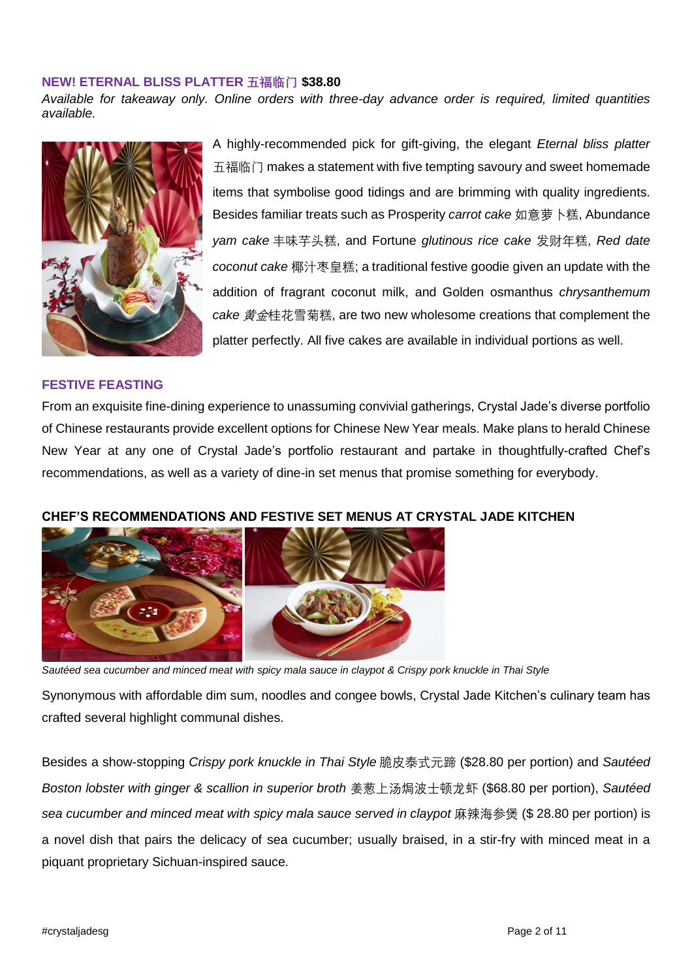#### **NEW! ETERNAL BLISS PLATTER 五福临门 \$38.80**

*Available for takeaway only. Online orders with three-day advance order is required, limited quantities available.*



# A highly-recommended pick for gift-giving, the elegant *Eternal bliss platter*  五福临门 makes a statement with five tempting savoury and sweet homemade items that symbolise good tidings and are brimming with quality ingredients. Besides familiar treats such as Prosperity *carrot cake* 如意萝卜糕, Abundance *yam cake* 丰味芋头糕, and Fortune *glutinous rice cake* 发财年糕, *Red date coconut cake* 椰汁枣皇糕; a traditional festive goodie given an update with the addition of fragrant coconut milk, and Golden osmanthus *chrysanthemum cake* 黄金桂花雪菊糕, are two new wholesome creations that complement the platter perfectly. All five cakes are available in individual portions as well.

#### **FESTIVE FEASTING**

From an exquisite fine-dining experience to unassuming convivial gatherings, Crystal Jade's diverse portfolio of Chinese restaurants provide excellent options for Chinese New Year meals. Make plans to herald Chinese New Year at any one of Crystal Jade's portfolio restaurant and partake in thoughtfully-crafted Chef's recommendations, as well as a variety of dine-in set menus that promise something for everybody.

#### **CHEF'S RECOMMENDATIONS AND FESTIVE SET MENUS AT CRYSTAL JADE KITCHEN**



*Sautéed sea cucumber and minced meat with spicy mala sauce in claypot & Crispy pork knuckle in Thai Style*

Synonymous with affordable dim sum, noodles and congee bowls, Crystal Jade Kitchen's culinary team has crafted several highlight communal dishes.

Besides a show-stopping *Crispy pork knuckle in Thai Style* 脆皮泰式元蹄 (\$28.80 per portion) and *Sautéed Boston lobster with ginger & scallion in superior broth* 姜葱上汤焗波士顿龙虾 (\$68.80 per portion), *Sautéed sea cucumber and minced meat with spicy mala sauce served in claypot* 麻辣海参煲 (\$ 28.80 per portion) is a novel dish that pairs the delicacy of sea cucumber; usually braised, in a stir-fry with minced meat in a piquant proprietary Sichuan-inspired sauce.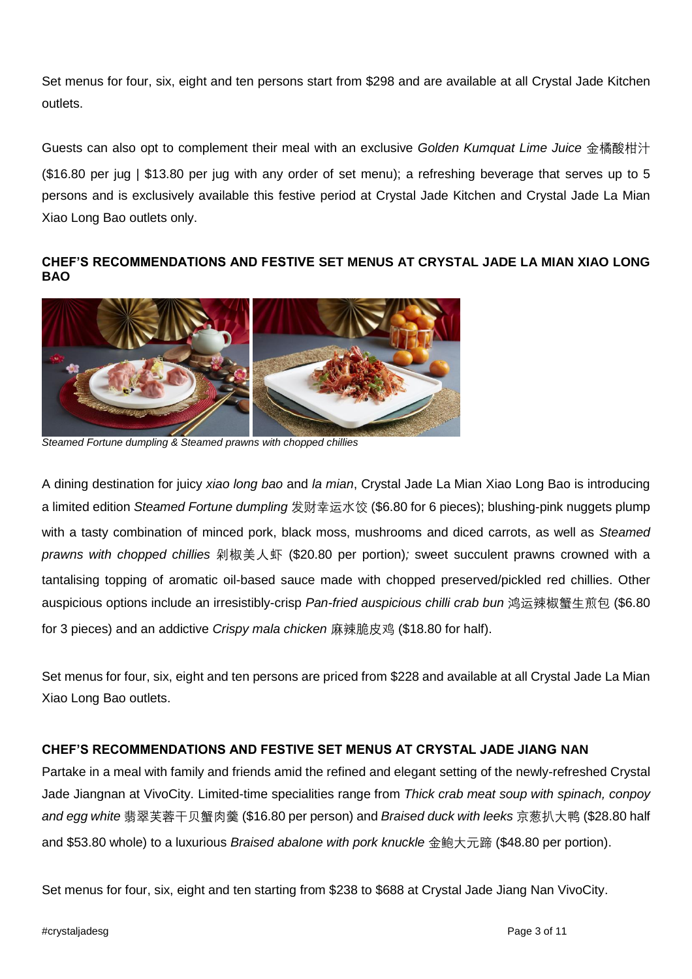Set menus for four, six, eight and ten persons start from \$298 and are available at all Crystal Jade Kitchen outlets.

Guests can also opt to complement their meal with an exclusive *Golden Kumquat Lime Juice* 金橘酸柑汁 (\$16.80 per jug | \$13.80 per jug with any order of set menu); a refreshing beverage that serves up to 5 persons and is exclusively available this festive period at Crystal Jade Kitchen and Crystal Jade La Mian Xiao Long Bao outlets only.

# **CHEF'S RECOMMENDATIONS AND FESTIVE SET MENUS AT CRYSTAL JADE LA MIAN XIAO LONG BAO**



*Steamed Fortune dumpling & Steamed prawns with chopped chillies*

A dining destination for juicy *xiao long bao* and *la mian*, Crystal Jade La Mian Xiao Long Bao is introducing a limited edition *Steamed Fortune dumpling* 发财幸运水饺 (\$6.80 for 6 pieces); blushing-pink nuggets plump with a tasty combination of minced pork, black moss, mushrooms and diced carrots, as well as *Steamed prawns with chopped chillies* 剁椒美人虾 (\$20.80 per portion)*;* sweet succulent prawns crowned with a tantalising topping of aromatic oil-based sauce made with chopped preserved/pickled red chillies. Other auspicious options include an irresistibly-crisp *Pan-fried auspicious chilli crab bun* 鸿运辣椒蟹生煎包 (\$6.80 for 3 pieces) and an addictive *Crispy mala chicken* 麻辣脆皮鸡 (\$18.80 for half).

Set menus for four, six, eight and ten persons are priced from \$228 and available at all Crystal Jade La Mian Xiao Long Bao outlets.

# **CHEF'S RECOMMENDATIONS AND FESTIVE SET MENUS AT CRYSTAL JADE JIANG NAN**

Partake in a meal with family and friends amid the refined and elegant setting of the newly-refreshed Crystal Jade Jiangnan at VivoCity. Limited-time specialities range from *Thick crab meat soup with spinach, conpoy and egg white* 翡翠芙蓉干贝蟹肉羹 (\$16.80 per person) and *Braised duck with leeks* 京葱扒大鸭 (\$28.80 half and \$53.80 whole) to a luxurious *Braised abalone with pork knuckle* 金鲍大元蹄 (\$48.80 per portion).

Set menus for four, six, eight and ten starting from \$238 to \$688 at Crystal Jade Jiang Nan VivoCity.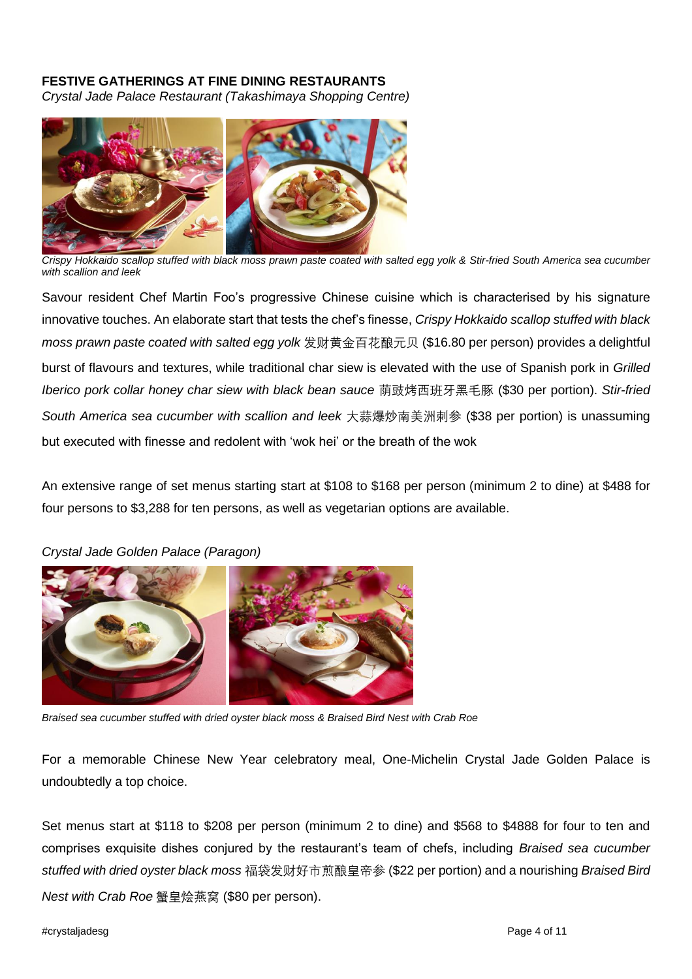# **FESTIVE GATHERINGS AT FINE DINING RESTAURANTS**

*Crystal Jade Palace Restaurant (Takashimaya Shopping Centre)*



*Crispy Hokkaido scallop stuffed with black moss prawn paste coated with salted egg yolk & Stir-fried South America sea cucumber with scallion and leek*

Savour resident Chef Martin Foo's progressive Chinese cuisine which is characterised by his signature innovative touches. An elaborate start that tests the chef's finesse, *Crispy Hokkaido scallop stuffed with black moss prawn paste coated with salted egg yolk* 发财黄金百花酿元贝 (\$16.80 per person) provides a delightful burst of flavours and textures, while traditional char siew is elevated with the use of Spanish pork in *Grilled Iberico pork collar honey char siew with black bean sauce* 荫豉烤西班牙黑毛豚 (\$30 per portion). *Stir-fried South America sea cucumber with scallion and leek* 大蒜爆炒南美洲刺参 (\$38 per portion) is unassuming but executed with finesse and redolent with 'wok hei' or the breath of the wok

An extensive range of set menus starting start at \$108 to \$168 per person (minimum 2 to dine) at \$488 for four persons to \$3,288 for ten persons, as well as vegetarian options are available.



*Crystal Jade Golden Palace (Paragon)*

*Braised sea cucumber stuffed with dried oyster black moss & Braised Bird Nest with Crab Roe*

For a memorable Chinese New Year celebratory meal, One-Michelin Crystal Jade Golden Palace is undoubtedly a top choice.

Set menus start at \$118 to \$208 per person (minimum 2 to dine) and \$568 to \$4888 for four to ten and comprises exquisite dishes conjured by the restaurant's team of chefs, including *Braised sea cucumber stuffed with dried oyster black moss* 福袋发财好市煎酿皇帝参 (\$22 per portion) and a nourishing *Braised Bird Nest with Crab Roe* 蟹皇烩燕窝 (\$80 per person).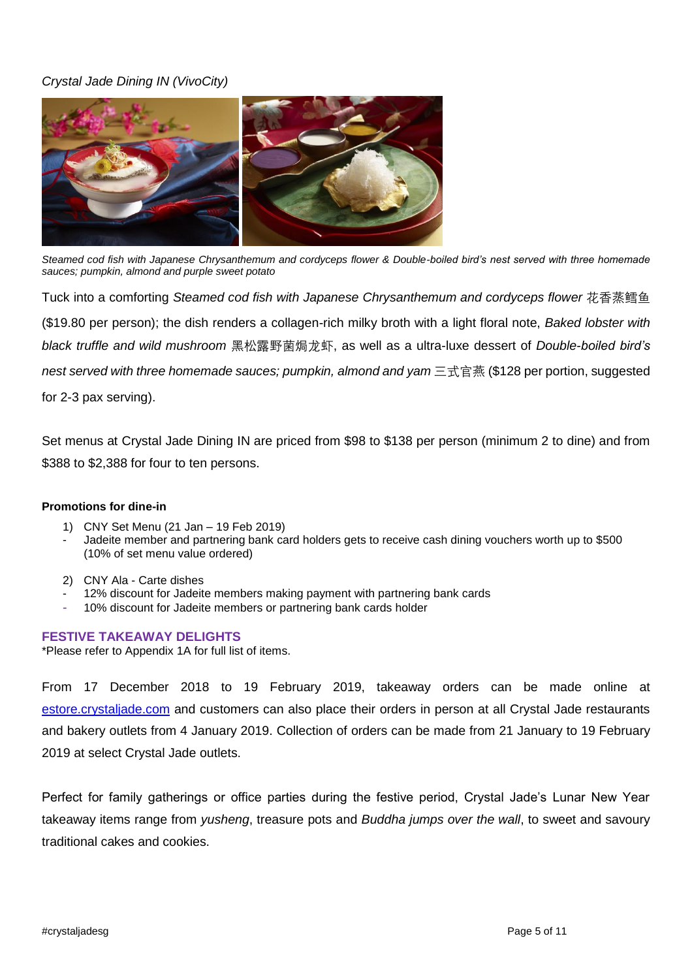# *Crystal Jade Dining IN (VivoCity)*



*Steamed cod fish with Japanese Chrysanthemum and cordyceps flower & Double-boiled bird's nest served with three homemade sauces; pumpkin, almond and purple sweet potato*

Tuck into a comforting *Steamed cod fish with Japanese Chrysanthemum and cordyceps flower* 花香蒸鳕鱼 (\$19.80 per person); the dish renders a collagen-rich milky broth with a light floral note, *Baked lobster with black truffle and wild mushroom* 黑松露野菌焗龙虾, as well as a ultra-luxe dessert of *Double-boiled bird's nest served with three homemade sauces; pumpkin, almond and yam* 三式官燕 (\$128 per portion, suggested for 2-3 pax serving).

Set menus at Crystal Jade Dining IN are priced from \$98 to \$138 per person (minimum 2 to dine) and from \$388 to \$2,388 for four to ten persons.

#### **Promotions for dine-in**

- 1) CNY Set Menu (21 Jan 19 Feb 2019)
- Jadeite member and partnering bank card holders gets to receive cash dining vouchers worth up to \$500 (10% of set menu value ordered)
- 2) CNY Ala Carte dishes
- 12% discount for Jadeite members making payment with partnering bank cards
- 10% discount for Jadeite members or partnering bank cards holder

#### **FESTIVE TAKEAWAY DELIGHTS**

\*Please refer to Appendix 1A for full list of items.

From 17 December 2018 to 19 February 2019, takeaway orders can be made online at estore.crystaljade.com and customers can also place their orders in person at all Crystal Jade restaurants and bakery outlets from 4 January 2019. Collection of orders can be made from 21 January to 19 February 2019 at select Crystal Jade outlets.

Perfect for family gatherings or office parties during the festive period, Crystal Jade's Lunar New Year takeaway items range from *yusheng*, treasure pots and *Buddha jumps over the wall*, to sweet and savoury traditional cakes and cookies.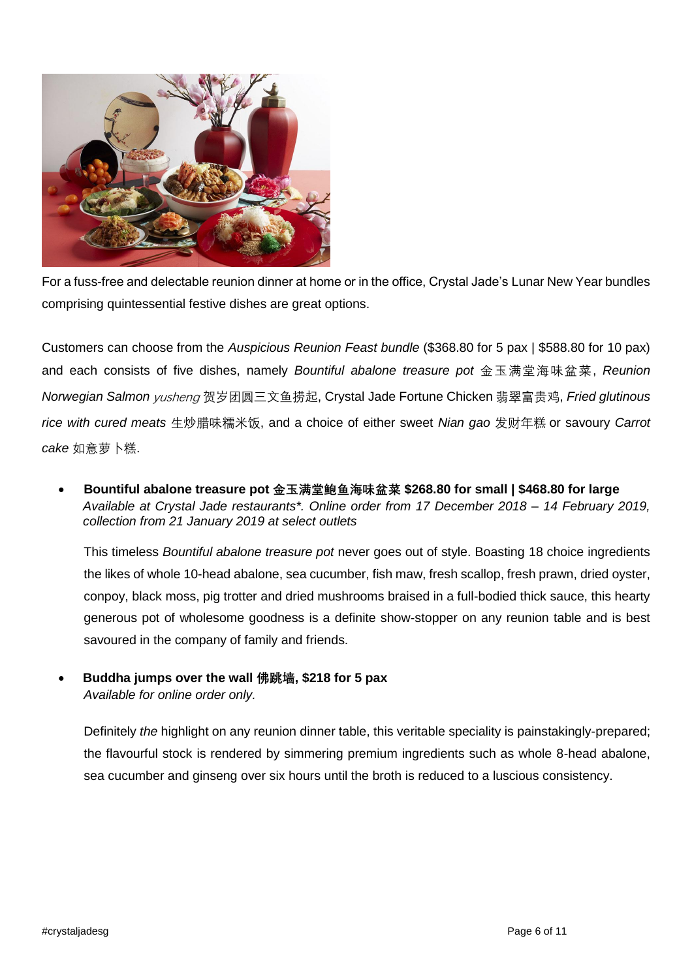

For a fuss-free and delectable reunion dinner at home or in the office, Crystal Jade's Lunar New Year bundles comprising quintessential festive dishes are great options.

Customers can choose from the *Auspicious Reunion Feast bundle* (\$368.80 for 5 pax | \$588.80 for 10 pax) and each consists of five dishes, namely *Bountiful abalone treasure pot* 金玉满堂海味盆菜, *Reunion Norwegian Salmon* yusheng 贺岁团圆三文鱼捞起, Crystal Jade Fortune Chicken 翡翠富贵鸡, *Fried glutinous rice with cured meats* 生炒腊味糯米饭, and a choice of either sweet *Nian gao* 发财年糕 or savoury *Carrot cake* 如意萝卜糕.

• **Bountiful abalone treasure pot 金玉满堂鲍鱼海味盆菜 \$268.80 for small | \$468.80 for large** *Available at Crystal Jade restaurants\*. Online order from 17 December 2018 – 14 February 2019, collection from 21 January 2019 at select outlets*

This timeless *Bountiful abalone treasure pot* never goes out of style. Boasting 18 choice ingredients the likes of whole 10-head abalone, sea cucumber, fish maw, fresh scallop, fresh prawn, dried oyster, conpoy, black moss, pig trotter and dried mushrooms braised in a full-bodied thick sauce, this hearty generous pot of wholesome goodness is a definite show-stopper on any reunion table and is best savoured in the company of family and friends.

• **Buddha jumps over the wall 佛跳墙, \$218 for 5 pax**  *Available for online order only.*

Definitely *the* highlight on any reunion dinner table, this veritable speciality is painstakingly-prepared; the flavourful stock is rendered by simmering premium ingredients such as whole 8-head abalone, sea cucumber and ginseng over six hours until the broth is reduced to a luscious consistency.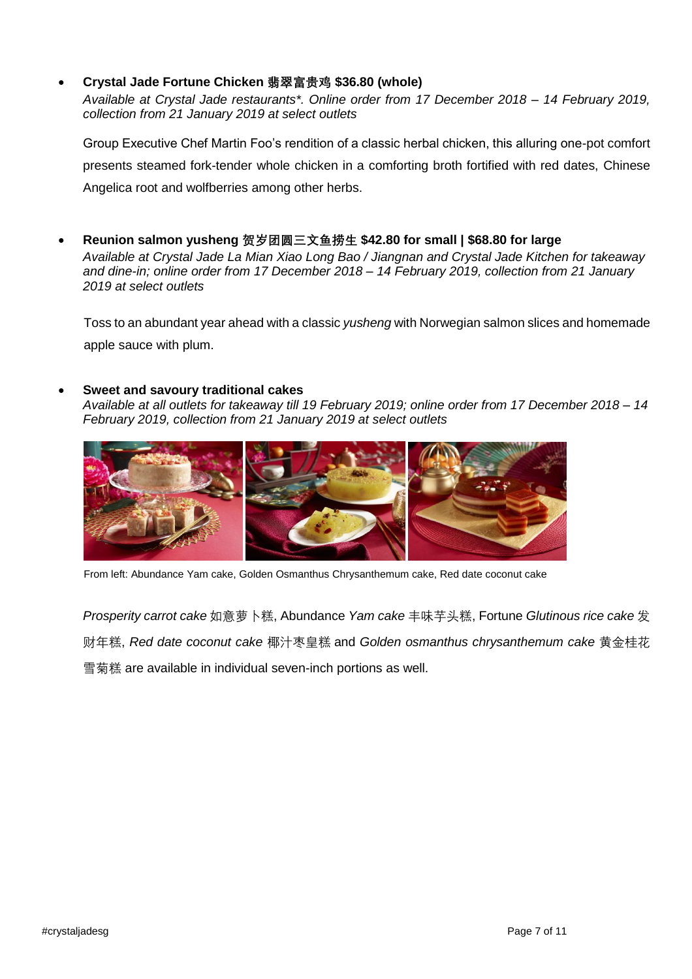# • **Crystal Jade Fortune Chicken 翡翠富贵鸡 \$36.80 (whole)**

*Available at Crystal Jade restaurants\*. Online order from 17 December 2018 – 14 February 2019, collection from 21 January 2019 at select outlets*

Group Executive Chef Martin Foo's rendition of a classic herbal chicken, this alluring one-pot comfort presents steamed fork-tender whole chicken in a comforting broth fortified with red dates, Chinese Angelica root and wolfberries among other herbs.

• **Reunion salmon yusheng 贺岁团圆三文鱼捞生 \$42.80 for small | \$68.80 for large** *Available at Crystal Jade La Mian Xiao Long Bao / Jiangnan and Crystal Jade Kitchen for takeaway and dine-in; online order from 17 December 2018 – 14 February 2019, collection from 21 January*

Toss to an abundant year ahead with a classic *yusheng* with Norwegian salmon slices and homemade apple sauce with plum.

## • **Sweet and savoury traditional cakes**

*2019 at select outlets*

*Available at all outlets for takeaway till 19 February 2019; online order from 17 December 2018 – 14 February 2019, collection from 21 January 2019 at select outlets*



From left: Abundance Yam cake, Golden Osmanthus Chrysanthemum cake, Red date coconut cake

*Prosperity carrot cake* 如意萝卜糕, Abundance *Yam cake* 丰味芋头糕, Fortune *Glutinous rice cake* 发 财年糕, *Red date coconut cake* 椰汁枣皇糕 and *Golden osmanthus chrysanthemum cake* 黄金桂花 雪菊糕 are available in individual seven-inch portions as well.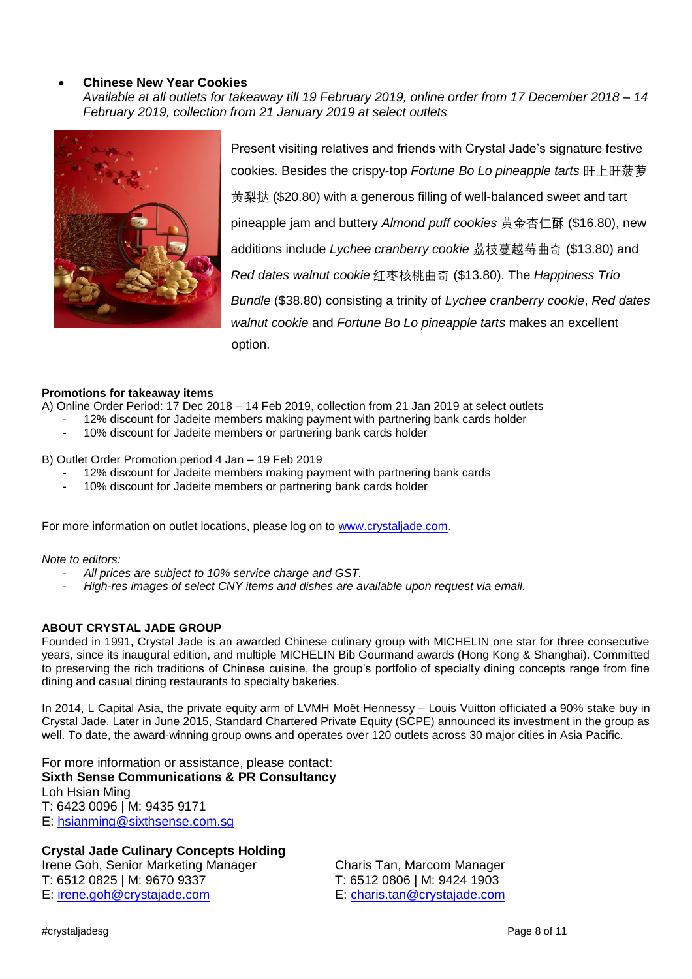### • **Chinese New Year Cookies**

*Available at all outlets for takeaway till 19 February 2019, online order from 17 December 2018 – 14 February 2019, collection from 21 January 2019 at select outlets*



Present visiting relatives and friends with Crystal Jade's signature festive cookies. Besides the crispy-top *Fortune Bo Lo pineapple tarts* 旺上旺菠萝 黄梨挞 (\$20.80) with a generous filling of well-balanced sweet and tart pineapple jam and buttery *Almond puff cookies* 黄金杏仁酥 (\$16.80), new additions include *Lychee cranberry cookie* 荔枝蔓越莓曲奇 (\$13.80) and *Red dates walnut cookie* 红枣核桃曲奇 (\$13.80). The *Happiness Trio Bundle* (\$38.80) consisting a trinity of *Lychee cranberry cookie*, *Red dates walnut cookie* and *Fortune Bo Lo pineapple tarts* makes an excellent option.

#### **Promotions for takeaway items**

A) Online Order Period: 17 Dec 2018 – 14 Feb 2019, collection from 21 Jan 2019 at select outlets

- 12% discount for Jadeite members making payment with partnering bank cards holder
- 10% discount for Jadeite members or partnering bank cards holder

B) Outlet Order Promotion period 4 Jan – 19 Feb 2019

- 12% discount for Jadeite members making payment with partnering bank cards
- 10% discount for Jadeite members or partnering bank cards holder

For more information on outlet locations, please log on to [www.crystaljade.com.](http://www.crystaljade.com/)

#### *Note to editors:*

- *All prices are subject to 10% service charge and GST.*
- *High-res images of select CNY items and dishes are available upon request via email.*

#### **ABOUT CRYSTAL JADE GROUP**

Founded in 1991, Crystal Jade is an awarded Chinese culinary group with MICHELIN one star for three consecutive years, since its inaugural edition, and multiple MICHELIN Bib Gourmand awards (Hong Kong & Shanghai). Committed to preserving the rich traditions of Chinese cuisine, the group's portfolio of specialty dining concepts range from fine dining and casual dining restaurants to specialty bakeries.

In 2014, L Capital Asia, the private equity arm of LVMH Moët Hennessy – Louis Vuitton officiated a 90% stake buy in Crystal Jade. Later in June 2015, Standard Chartered Private Equity (SCPE) announced its investment in the group as well. To date, the award-winning group owns and operates over 120 outlets across 30 major cities in Asia Pacific.

For more information or assistance, please contact: **Sixth Sense Communications & PR Consultancy** Loh Hsian Ming T: 6423 0096 | M: 9435 9171 E: [hsianming@sixthsense.com.sg](mailto:hsianming@sixthsense.com.sg)

## **Crystal Jade Culinary Concepts Holding**

Irene Goh, Senior Marketing Manager Charis Tan, Marcom Manager T: 6512 0825 | M: 9670 9337 T: 6512 0806 | M: 9424 1903 E: [irene.goh@crystajade.com](mailto:irene.goh@crystajade.com) E: [charis.tan@crystajade.com](mailto:charis.tan@crystajade.com)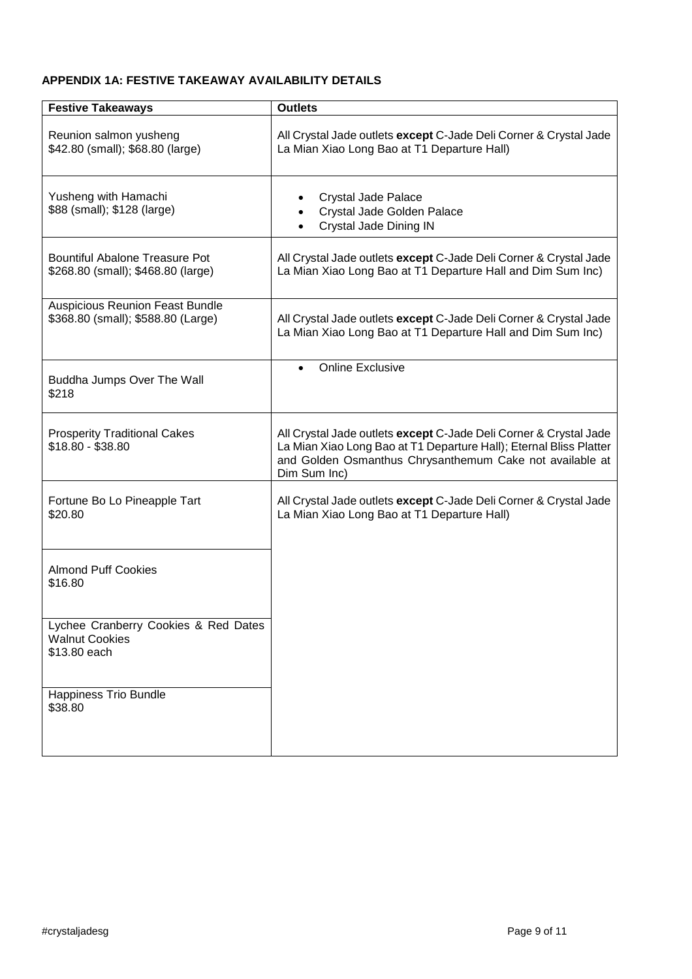## **APPENDIX 1A: FESTIVE TAKEAWAY AVAILABILITY DETAILS**

| <b>Festive Takeaways</b>                                                      | <b>Outlets</b>                                                                                                                                                                                                      |
|-------------------------------------------------------------------------------|---------------------------------------------------------------------------------------------------------------------------------------------------------------------------------------------------------------------|
| Reunion salmon yusheng<br>\$42.80 (small); \$68.80 (large)                    | All Crystal Jade outlets except C-Jade Deli Corner & Crystal Jade<br>La Mian Xiao Long Bao at T1 Departure Hall)                                                                                                    |
| Yusheng with Hamachi<br>\$88 (small); \$128 (large)                           | Crystal Jade Palace<br>Crystal Jade Golden Palace<br>Crystal Jade Dining IN                                                                                                                                         |
| <b>Bountiful Abalone Treasure Pot</b><br>\$268.80 (small); \$468.80 (large)   | All Crystal Jade outlets except C-Jade Deli Corner & Crystal Jade<br>La Mian Xiao Long Bao at T1 Departure Hall and Dim Sum Inc)                                                                                    |
| <b>Auspicious Reunion Feast Bundle</b><br>\$368.80 (small); \$588.80 (Large)  | All Crystal Jade outlets except C-Jade Deli Corner & Crystal Jade<br>La Mian Xiao Long Bao at T1 Departure Hall and Dim Sum Inc)                                                                                    |
| Buddha Jumps Over The Wall<br>\$218                                           | <b>Online Exclusive</b><br>$\bullet$                                                                                                                                                                                |
| <b>Prosperity Traditional Cakes</b><br>\$18.80 - \$38.80                      | All Crystal Jade outlets except C-Jade Deli Corner & Crystal Jade<br>La Mian Xiao Long Bao at T1 Departure Hall); Eternal Bliss Platter<br>and Golden Osmanthus Chrysanthemum Cake not available at<br>Dim Sum Inc) |
| Fortune Bo Lo Pineapple Tart<br>\$20.80                                       | All Crystal Jade outlets except C-Jade Deli Corner & Crystal Jade<br>La Mian Xiao Long Bao at T1 Departure Hall)                                                                                                    |
| <b>Almond Puff Cookies</b><br>\$16.80                                         |                                                                                                                                                                                                                     |
| Lychee Cranberry Cookies & Red Dates<br><b>Walnut Cookies</b><br>\$13.80 each |                                                                                                                                                                                                                     |
| <b>Happiness Trio Bundle</b><br>\$38.80                                       |                                                                                                                                                                                                                     |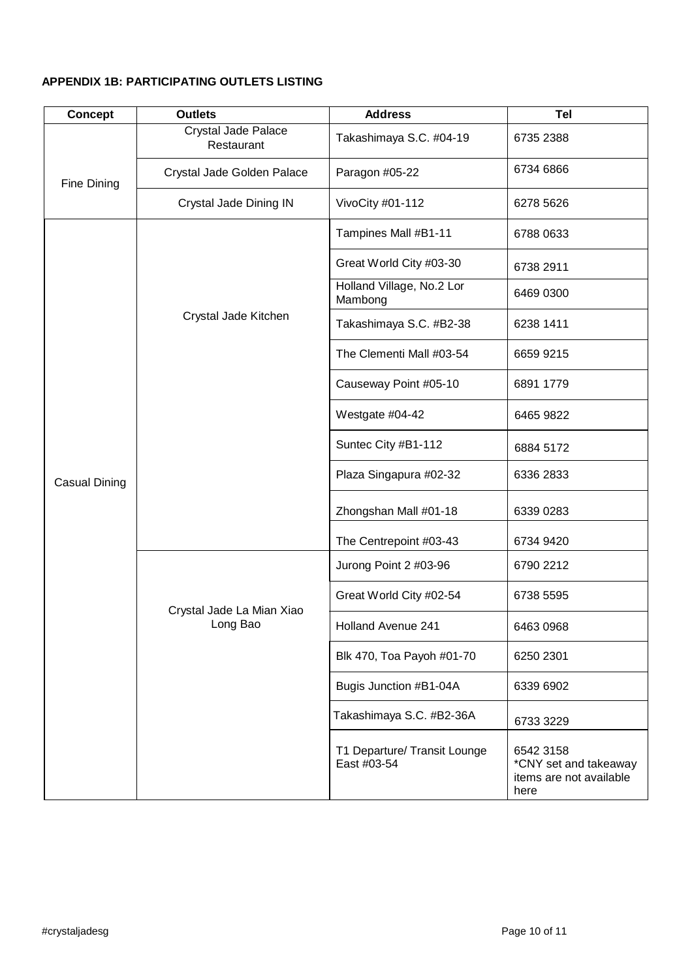# **APPENDIX 1B: PARTICIPATING OUTLETS LISTING**

| <b>Concept</b> | <b>Outlets</b>                        | <b>Address</b>                              | <b>Tel</b>                                                            |
|----------------|---------------------------------------|---------------------------------------------|-----------------------------------------------------------------------|
| Fine Dining    | Crystal Jade Palace<br>Restaurant     | Takashimaya S.C. #04-19                     | 6735 2388                                                             |
|                | Crystal Jade Golden Palace            | Paragon #05-22                              | 6734 6866                                                             |
|                | Crystal Jade Dining IN                | VivoCity #01-112                            | 6278 5626                                                             |
| Casual Dining  | Crystal Jade Kitchen                  | Tampines Mall #B1-11                        | 6788 0633                                                             |
|                |                                       | Great World City #03-30                     | 6738 2911                                                             |
|                |                                       | Holland Village, No.2 Lor<br>Mambong        | 6469 0300                                                             |
|                |                                       | Takashimaya S.C. #B2-38                     | 6238 1411                                                             |
|                |                                       | The Clementi Mall #03-54                    | 6659 9215                                                             |
|                |                                       | Causeway Point #05-10                       | 6891 1779                                                             |
|                |                                       | Westgate #04-42                             | 6465 9822                                                             |
|                |                                       | Suntec City #B1-112                         | 6884 5172                                                             |
|                |                                       | Plaza Singapura #02-32                      | 6336 2833                                                             |
|                |                                       | Zhongshan Mall #01-18                       | 6339 0283                                                             |
|                |                                       | The Centrepoint #03-43                      | 6734 9420                                                             |
|                |                                       | Jurong Point 2 #03-96                       | 6790 2212                                                             |
|                | Crystal Jade La Mian Xiao<br>Long Bao | Great World City #02-54                     | 6738 5595                                                             |
|                |                                       | <b>Holland Avenue 241</b>                   | 6463 0968                                                             |
|                |                                       | Blk 470, Toa Payoh #01-70                   | 6250 2301                                                             |
|                |                                       | Bugis Junction #B1-04A                      | 6339 6902                                                             |
|                |                                       | Takashimaya S.C. #B2-36A                    | 6733 3229                                                             |
|                |                                       | T1 Departure/ Transit Lounge<br>East #03-54 | 6542 3158<br>*CNY set and takeaway<br>items are not available<br>here |